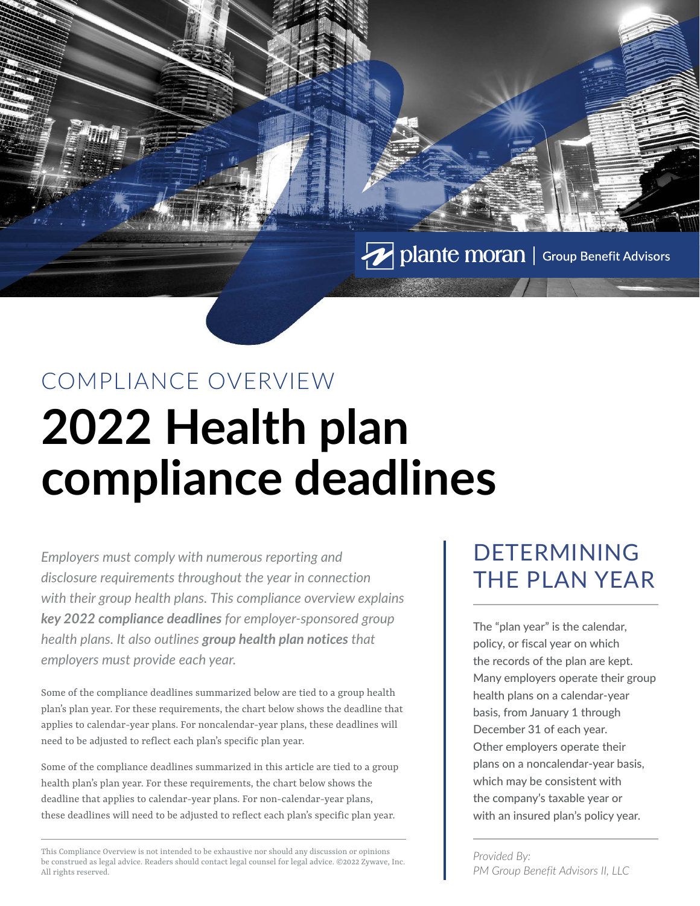Polante moran | Group Benefit Advisors

# COMPLIANCE OVERVIEW **2022 Health plan compliance deadlines**

*Employers must comply with numerous reporting and disclosure requirements throughout the year in connection with their group health plans. This compliance overview explains key 2022 compliance deadlines for employer-sponsored group health plans. It also outlines group health plan notices that employers must provide each year.*

Some of the compliance deadlines summarized below are tied to a group health plan's plan year. For these requirements, the chart below shows the deadline that applies to calendar-year plans. For noncalendar-year plans, these deadlines will need to be adjusted to reflect each plan's specific plan year.

Some of the compliance deadlines summarized in this article are tied to a group health plan's plan year. For these requirements, the chart below shows the deadline that applies to calendar-year plans. For non-calendar-year plans, these deadlines will need to be adjusted to reflect each plan's specific plan year.

This Compliance Overview is not intended to be exhaustive nor should any discussion or opinions be construed as legal advice. Readers should contact legal counsel for legal advice. ©2022 Zywave, Inc. All rights reserved.

#### DETERMINING THE PLAN YEAR

The "plan year" is the calendar, policy, or fiscal year on which the records of the plan are kept. Many employers operate their group health plans on a calendar-year basis, from January 1 through December 31 of each year. Other employers operate their plans on a noncalendar-year basis, which may be consistent with the company's taxable year or with an insured plan's policy year.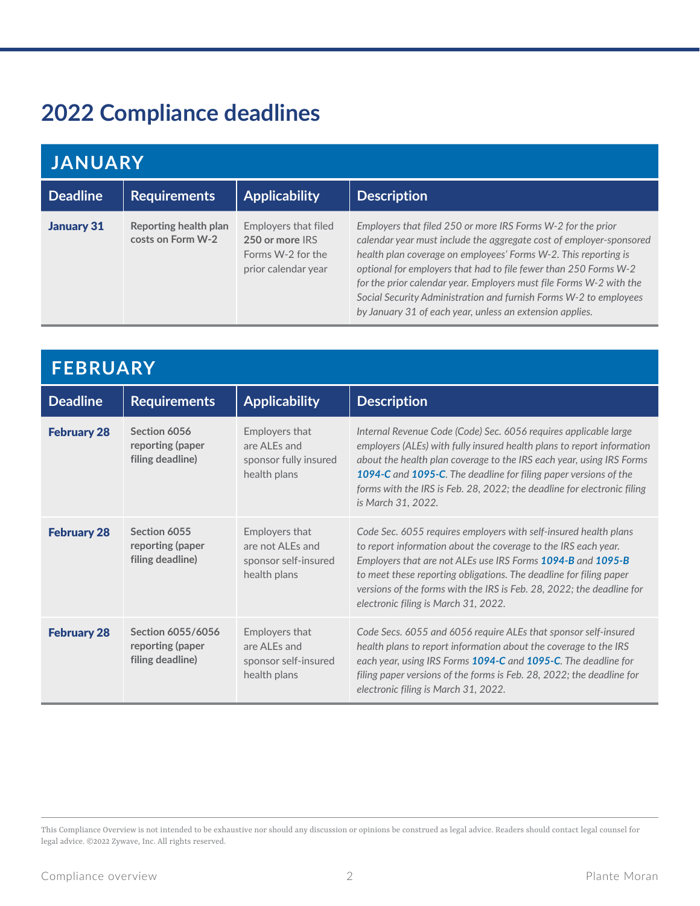## **2022 Compliance deadlines**

| <b>JANUARY</b>    |                                            |                                                                                     |                                                                                                                                                                                                                                                                                                                                                                                                                                                                                    |
|-------------------|--------------------------------------------|-------------------------------------------------------------------------------------|------------------------------------------------------------------------------------------------------------------------------------------------------------------------------------------------------------------------------------------------------------------------------------------------------------------------------------------------------------------------------------------------------------------------------------------------------------------------------------|
| <b>Deadline</b>   | <b>Requirements</b>                        | <b>Applicability</b>                                                                | <b>Description</b>                                                                                                                                                                                                                                                                                                                                                                                                                                                                 |
| <b>January 31</b> | Reporting health plan<br>costs on Form W-2 | Employers that filed<br>250 or more IRS<br>Forms W-2 for the<br>prior calendar year | Employers that filed 250 or more IRS Forms W-2 for the prior<br>calendar year must include the aggregate cost of employer-sponsored<br>health plan coverage on employees' Forms W-2. This reporting is<br>optional for employers that had to file fewer than 250 Forms W-2<br>for the prior calendar year. Employers must file Forms W-2 with the<br>Social Security Administration and furnish Forms W-2 to employees<br>by January 31 of each year, unless an extension applies. |

| <b>FEBRUARY</b>    |                                                           |                                                                            |                                                                                                                                                                                                                                                                                                                                                                                                       |
|--------------------|-----------------------------------------------------------|----------------------------------------------------------------------------|-------------------------------------------------------------------------------------------------------------------------------------------------------------------------------------------------------------------------------------------------------------------------------------------------------------------------------------------------------------------------------------------------------|
| <b>Deadline</b>    | <b>Requirements</b>                                       | <b>Applicability</b>                                                       | <b>Description</b>                                                                                                                                                                                                                                                                                                                                                                                    |
| <b>February 28</b> | Section 6056<br>reporting (paper<br>filing deadline)      | Employers that<br>are AI Es and<br>sponsor fully insured<br>health plans   | Internal Revenue Code (Code) Sec. 6056 requires applicable large<br>employers (ALEs) with fully insured health plans to report information<br>about the health plan coverage to the IRS each year, using IRS Forms<br><b>1094-C</b> and <b>1095-C.</b> The deadline for filing paper versions of the<br>forms with the IRS is Feb. 28, 2022; the deadline for electronic filing<br>is March 31, 2022. |
| <b>February 28</b> | Section 6055<br>reporting (paper<br>filing deadline)      | Employers that<br>are not ALEs and<br>sponsor self-insured<br>health plans | Code Sec. 6055 requires employers with self-insured health plans<br>to report information about the coverage to the IRS each year.<br>Employers that are not ALEs use IRS Forms 1094-B and 1095-B<br>to meet these reporting obligations. The deadline for filing paper<br>versions of the forms with the IRS is Feb. 28, 2022; the deadline for<br>electronic filing is March 31, 2022.              |
| <b>February 28</b> | Section 6055/6056<br>reporting (paper<br>filing deadline) | Employers that<br>are ALEs and<br>sponsor self-insured<br>health plans     | Code Secs. 6055 and 6056 require ALEs that sponsor self-insured<br>health plans to report information about the coverage to the IRS<br>each year, using IRS Forms 1094-C and 1095-C. The deadline for<br>filing paper versions of the forms is Feb. 28, 2022; the deadline for<br>electronic filing is March 31, 2022.                                                                                |

This Compliance Overview is not intended to be exhaustive nor should any discussion or opinions be construed as legal advice. Readers should contact legal counsel for legal advice. ©2022 Zywave, Inc. All rights reserved.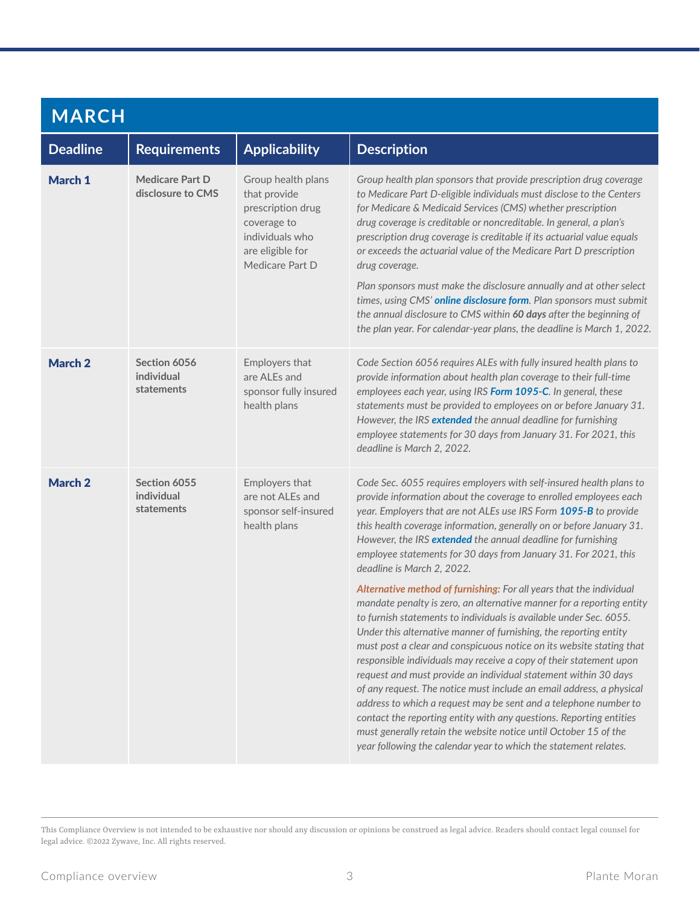| <b>MARCH</b>       |                                             |                                                                                                                                  |                                                                                                                                                                                                                                                                                                                                                                                                                                                                                                                                                                                                                                                                                                                                                                                                                                                                                                                                                                                                                                                                                                                                                                                                                                                                                                                              |  |
|--------------------|---------------------------------------------|----------------------------------------------------------------------------------------------------------------------------------|------------------------------------------------------------------------------------------------------------------------------------------------------------------------------------------------------------------------------------------------------------------------------------------------------------------------------------------------------------------------------------------------------------------------------------------------------------------------------------------------------------------------------------------------------------------------------------------------------------------------------------------------------------------------------------------------------------------------------------------------------------------------------------------------------------------------------------------------------------------------------------------------------------------------------------------------------------------------------------------------------------------------------------------------------------------------------------------------------------------------------------------------------------------------------------------------------------------------------------------------------------------------------------------------------------------------------|--|
| <b>Deadline</b>    | <b>Requirements</b>                         | <b>Applicability</b>                                                                                                             | <b>Description</b>                                                                                                                                                                                                                                                                                                                                                                                                                                                                                                                                                                                                                                                                                                                                                                                                                                                                                                                                                                                                                                                                                                                                                                                                                                                                                                           |  |
| March 1            | <b>Medicare Part D</b><br>disclosure to CMS | Group health plans<br>that provide<br>prescription drug<br>coverage to<br>individuals who<br>are eligible for<br>Medicare Part D | Group health plan sponsors that provide prescription drug coverage<br>to Medicare Part D-eligible individuals must disclose to the Centers<br>for Medicare & Medicaid Services (CMS) whether prescription<br>drug coverage is creditable or noncreditable. In general, a plan's<br>prescription drug coverage is creditable if its actuarial value equals<br>or exceeds the actuarial value of the Medicare Part D prescription<br>drug coverage.<br>Plan sponsors must make the disclosure annually and at other select<br>times, using CMS' online disclosure form. Plan sponsors must submit<br>the annual disclosure to CMS within 60 days after the beginning of<br>the plan year. For calendar-year plans, the deadline is March 1, 2022.                                                                                                                                                                                                                                                                                                                                                                                                                                                                                                                                                                              |  |
| March <sub>2</sub> | Section 6056<br>individual<br>statements    | Employers that<br>are ALEs and<br>sponsor fully insured<br>health plans                                                          | Code Section 6056 requires ALEs with fully insured health plans to<br>provide information about health plan coverage to their full-time<br>employees each year, using IRS Form 1095-C. In general, these<br>statements must be provided to employees on or before January 31.<br>However, the IRS extended the annual deadline for furnishing<br>employee statements for 30 days from January 31. For 2021, this<br>deadline is March 2, 2022.                                                                                                                                                                                                                                                                                                                                                                                                                                                                                                                                                                                                                                                                                                                                                                                                                                                                               |  |
| March 2            | Section 6055<br>individual<br>statements    | Employers that<br>are not ALEs and<br>sponsor self-insured<br>health plans                                                       | Code Sec. 6055 requires employers with self-insured health plans to<br>provide information about the coverage to enrolled employees each<br>year. Employers that are not ALEs use IRS Form 1095-B to provide<br>this health coverage information, generally on or before January 31.<br>However, the IRS extended the annual deadline for furnishing<br>employee statements for 30 days from January 31. For 2021, this<br>deadline is March 2, 2022.<br>Alternative method of furnishing: For all years that the individual<br>mandate penalty is zero, an alternative manner for a reporting entity<br>to furnish statements to individuals is available under Sec. 6055.<br>Under this alternative manner of furnishing, the reporting entity<br>must post a clear and conspicuous notice on its website stating that<br>responsible individuals may receive a copy of their statement upon<br>request and must provide an individual statement within 30 days<br>of any request. The notice must include an email address, a physical<br>address to which a request may be sent and a telephone number to<br>contact the reporting entity with any questions. Reporting entities<br>must generally retain the website notice until October 15 of the<br>year following the calendar year to which the statement relates. |  |

This Compliance Overview is not intended to be exhaustive nor should any discussion or opinions be construed as legal advice. Readers should contact legal counsel for legal advice. ©2022 Zywave, Inc. All rights reserved.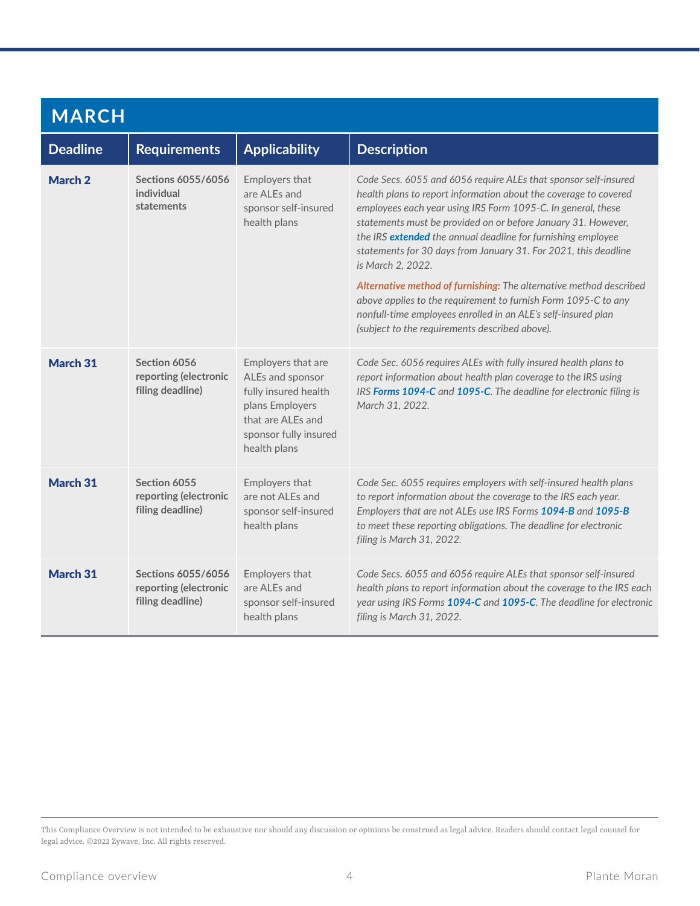| <b>MARCH</b>    |                                                                        |                                                                                                                                                 |                                                                                                                                                                                                                                                                                                                                                                                                                                                                                                                                                                                                                                                                                         |
|-----------------|------------------------------------------------------------------------|-------------------------------------------------------------------------------------------------------------------------------------------------|-----------------------------------------------------------------------------------------------------------------------------------------------------------------------------------------------------------------------------------------------------------------------------------------------------------------------------------------------------------------------------------------------------------------------------------------------------------------------------------------------------------------------------------------------------------------------------------------------------------------------------------------------------------------------------------------|
| <b>Deadline</b> | <b>Requirements</b>                                                    | <b>Applicability</b>                                                                                                                            | <b>Description</b>                                                                                                                                                                                                                                                                                                                                                                                                                                                                                                                                                                                                                                                                      |
| March 2         | <b>Sections 6055/6056</b><br>individual<br>statements                  | Employers that<br>are ALEs and<br>sponsor self-insured<br>health plans                                                                          | Code Secs. 6055 and 6056 require ALEs that sponsor self-insured<br>health plans to report information about the coverage to covered<br>employees each year using IRS Form 1095-C. In general, these<br>statements must be provided on or before January 31. However,<br>the IRS extended the annual deadline for furnishing employee<br>statements for 30 days from January 31. For 2021, this deadline<br>is March 2, 2022.<br>Alternative method of furnishing: The alternative method described<br>above applies to the requirement to furnish Form 1095-C to any<br>nonfull-time employees enrolled in an ALE's self-insured plan<br>(subject to the requirements described above). |
| March 31        | Section 6056<br>reporting (electronic<br>filing deadline)              | Employers that are<br>ALEs and sponsor<br>fully insured health<br>plans Employers<br>that are ALEs and<br>sponsor fully insured<br>health plans | Code Sec. 6056 requires ALEs with fully insured health plans to<br>report information about health plan coverage to the IRS using<br>IRS Forms 1094-C and 1095-C. The deadline for electronic filing is<br>March 31, 2022.                                                                                                                                                                                                                                                                                                                                                                                                                                                              |
| March 31        | Section 6055<br>reporting (electronic<br>filing deadline)              | Employers that<br>are not ALEs and<br>sponsor self-insured<br>health plans                                                                      | Code Sec. 6055 requires employers with self-insured health plans<br>to report information about the coverage to the IRS each year.<br>Employers that are not ALEs use IRS Forms 1094-B and 1095-B<br>to meet these reporting obligations. The deadline for electronic<br>filing is March 31, 2022.                                                                                                                                                                                                                                                                                                                                                                                      |
| March 31        | <b>Sections 6055/6056</b><br>reporting (electronic<br>filing deadline) | Employers that<br>are ALEs and<br>sponsor self-insured<br>health plans                                                                          | Code Secs. 6055 and 6056 require ALEs that sponsor self-insured<br>health plans to report information about the coverage to the IRS each<br>year using IRS Forms 1094-C and 1095-C. The deadline for electronic<br>filing is March 31, 2022.                                                                                                                                                                                                                                                                                                                                                                                                                                            |

This Compliance Overview is not intended to be exhaustive nor should any discussion or opinions be construed as legal advice. Readers should contact legal counsel for legal advice. ©2022 Zywave, Inc. All rights reserved.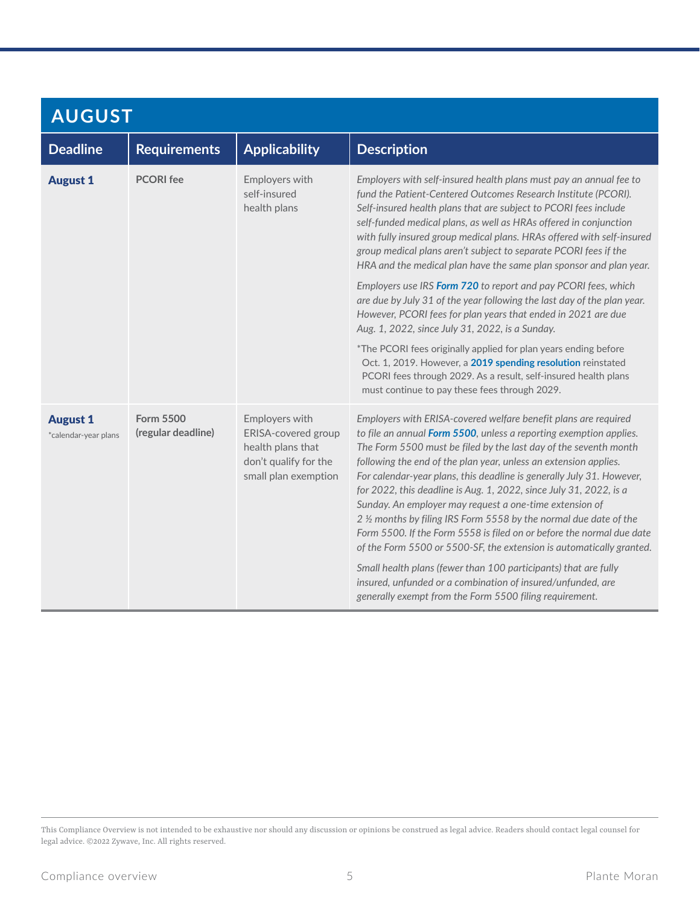| <b>AUGUST</b>                           |                                 |                                                                                                                    |                                                                                                                                                                                                                                                                                                                                                                                                                                                                                                                                                                                                                                                                                                                |
|-----------------------------------------|---------------------------------|--------------------------------------------------------------------------------------------------------------------|----------------------------------------------------------------------------------------------------------------------------------------------------------------------------------------------------------------------------------------------------------------------------------------------------------------------------------------------------------------------------------------------------------------------------------------------------------------------------------------------------------------------------------------------------------------------------------------------------------------------------------------------------------------------------------------------------------------|
| <b>Deadline</b>                         | <b>Requirements</b>             | <b>Applicability</b>                                                                                               | <b>Description</b>                                                                                                                                                                                                                                                                                                                                                                                                                                                                                                                                                                                                                                                                                             |
| <b>August 1</b>                         | <b>PCORI</b> fee                | Employers with<br>self-insured<br>health plans                                                                     | Employers with self-insured health plans must pay an annual fee to<br>fund the Patient-Centered Outcomes Research Institute (PCORI).<br>Self-insured health plans that are subject to PCORI fees include<br>self-funded medical plans, as well as HRAs offered in conjunction<br>with fully insured group medical plans. HRAs offered with self-insured<br>group medical plans aren't subject to separate PCORI fees if the<br>HRA and the medical plan have the same plan sponsor and plan year.                                                                                                                                                                                                              |
|                                         |                                 |                                                                                                                    | Employers use IRS Form 720 to report and pay PCORI fees, which<br>are due by July 31 of the year following the last day of the plan year.<br>However, PCORI fees for plan years that ended in 2021 are due<br>Aug. 1, 2022, since July 31, 2022, is a Sunday.                                                                                                                                                                                                                                                                                                                                                                                                                                                  |
|                                         |                                 |                                                                                                                    | *The PCORI fees originally applied for plan years ending before<br>Oct. 1, 2019. However, a 2019 spending resolution reinstated<br>PCORI fees through 2029. As a result, self-insured health plans<br>must continue to pay these fees through 2029.                                                                                                                                                                                                                                                                                                                                                                                                                                                            |
| <b>August 1</b><br>*calendar-year plans | Form 5500<br>(regular deadline) | Employers with<br><b>ERISA-covered group</b><br>health plans that<br>don't qualify for the<br>small plan exemption | Employers with ERISA-covered welfare benefit plans are required<br>to file an annual Form 5500, unless a reporting exemption applies.<br>The Form 5500 must be filed by the last day of the seventh month<br>following the end of the plan year, unless an extension applies.<br>For calendar-year plans, this deadline is generally July 31. However,<br>for 2022, this deadline is Aug. 1, 2022, since July 31, 2022, is a<br>Sunday. An employer may request a one-time extension of<br>2 1/2 months by filing IRS Form 5558 by the normal due date of the<br>Form 5500. If the Form 5558 is filed on or before the normal due date<br>of the Form 5500 or 5500-SF, the extension is automatically granted. |
|                                         |                                 |                                                                                                                    | Small health plans (fewer than 100 participants) that are fully<br>insured, unfunded or a combination of insured/unfunded, are<br>generally exempt from the Form 5500 filing requirement.                                                                                                                                                                                                                                                                                                                                                                                                                                                                                                                      |

This Compliance Overview is not intended to be exhaustive nor should any discussion or opinions be construed as legal advice. Readers should contact legal counsel for legal advice. ©2022 Zywave, Inc. All rights reserved.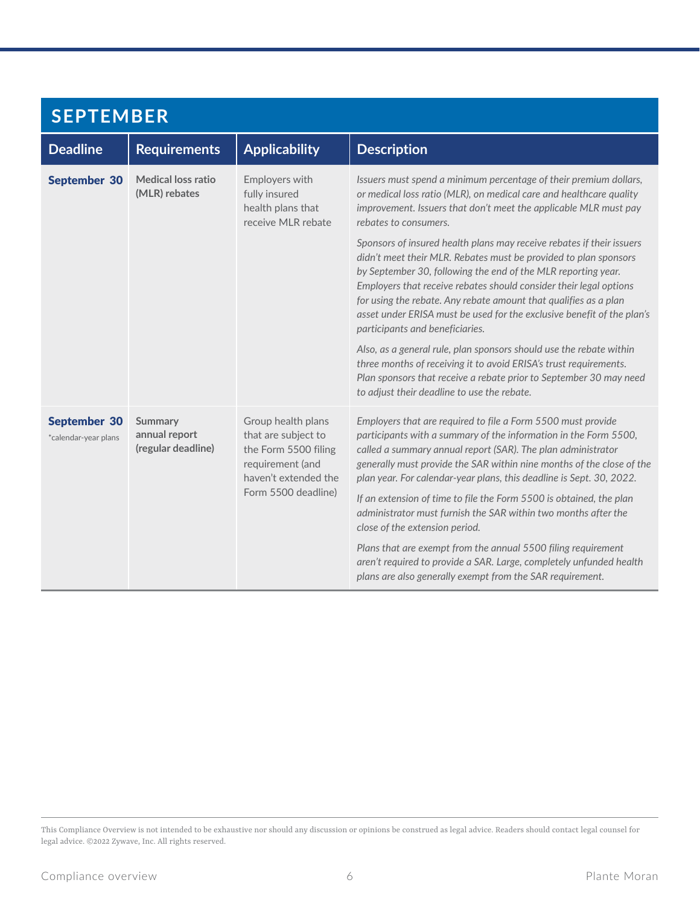| <b>SEPTEMBER</b>                            |                                                       |                                                                                                                                      |                                                                                                                                                                                                                                                                                                                                                                                                                                                                                                                                          |
|---------------------------------------------|-------------------------------------------------------|--------------------------------------------------------------------------------------------------------------------------------------|------------------------------------------------------------------------------------------------------------------------------------------------------------------------------------------------------------------------------------------------------------------------------------------------------------------------------------------------------------------------------------------------------------------------------------------------------------------------------------------------------------------------------------------|
| <b>Deadline</b>                             | <b>Requirements</b>                                   | <b>Applicability</b>                                                                                                                 | <b>Description</b>                                                                                                                                                                                                                                                                                                                                                                                                                                                                                                                       |
| <b>September 30</b>                         | <b>Medical loss ratio</b><br>(MLR) rebates            | Employers with<br>fully insured<br>health plans that<br>receive MLR rebate                                                           | Issuers must spend a minimum percentage of their premium dollars,<br>or medical loss ratio (MLR), on medical care and healthcare quality<br>improvement. Issuers that don't meet the applicable MLR must pay<br>rebates to consumers.                                                                                                                                                                                                                                                                                                    |
|                                             |                                                       |                                                                                                                                      | Sponsors of insured health plans may receive rebates if their issuers<br>didn't meet their MLR. Rebates must be provided to plan sponsors<br>by September 30, following the end of the MLR reporting year.<br>Employers that receive rebates should consider their legal options<br>for using the rebate. Any rebate amount that qualifies as a plan<br>asset under ERISA must be used for the exclusive benefit of the plan's<br>participants and beneficiaries.<br>Also, as a general rule, plan sponsors should use the rebate within |
|                                             |                                                       |                                                                                                                                      | three months of receiving it to avoid ERISA's trust requirements.<br>Plan sponsors that receive a rebate prior to September 30 may need<br>to adjust their deadline to use the rebate.                                                                                                                                                                                                                                                                                                                                                   |
| <b>September 30</b><br>*calendar-year plans | <b>Summary</b><br>annual report<br>(regular deadline) | Group health plans<br>that are subject to<br>the Form 5500 filing<br>requirement (and<br>haven't extended the<br>Form 5500 deadline) | Employers that are required to file a Form 5500 must provide<br>participants with a summary of the information in the Form 5500,<br>called a summary annual report (SAR). The plan administrator<br>generally must provide the SAR within nine months of the close of the<br>plan year. For calendar-year plans, this deadline is Sept. 30, 2022.                                                                                                                                                                                        |
|                                             |                                                       |                                                                                                                                      | If an extension of time to file the Form 5500 is obtained, the plan<br>administrator must furnish the SAR within two months after the<br>close of the extension period.                                                                                                                                                                                                                                                                                                                                                                  |
|                                             |                                                       |                                                                                                                                      | Plans that are exempt from the annual 5500 filing requirement<br>aren't required to provide a SAR. Large, completely unfunded health<br>plans are also generally exempt from the SAR requirement.                                                                                                                                                                                                                                                                                                                                        |

This Compliance Overview is not intended to be exhaustive nor should any discussion or opinions be construed as legal advice. Readers should contact legal counsel for legal advice. ©2022 Zywave, Inc. All rights reserved.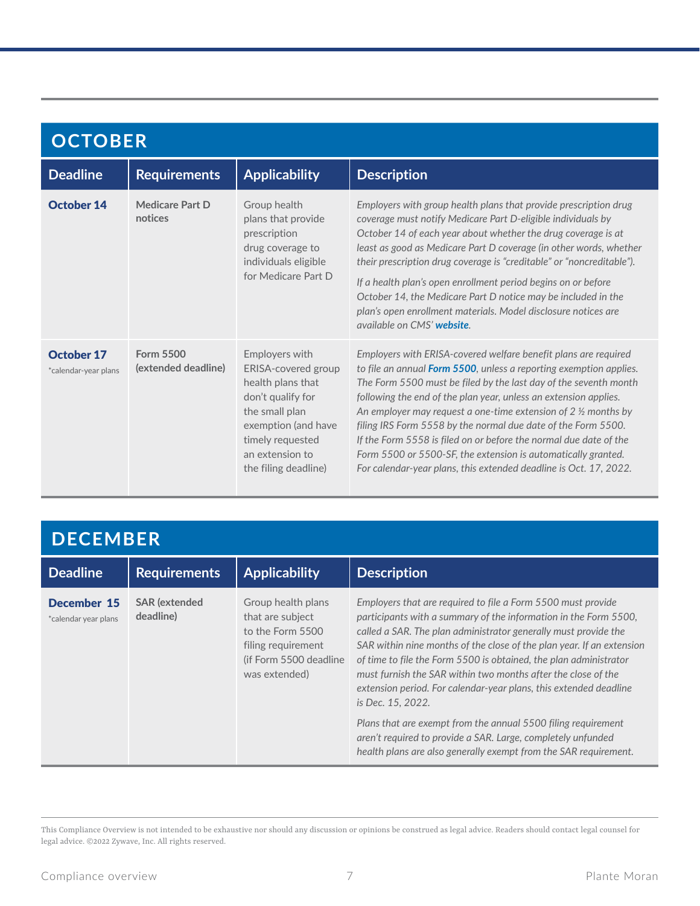| <b>OCTOBER</b>                            |                                  |                                                                                                                                                                                         |                                                                                                                                                                                                                                                                                                                                                                                                                                                                                                                                                                                                                                       |
|-------------------------------------------|----------------------------------|-----------------------------------------------------------------------------------------------------------------------------------------------------------------------------------------|---------------------------------------------------------------------------------------------------------------------------------------------------------------------------------------------------------------------------------------------------------------------------------------------------------------------------------------------------------------------------------------------------------------------------------------------------------------------------------------------------------------------------------------------------------------------------------------------------------------------------------------|
| <b>Deadline</b>                           | <b>Requirements</b>              | <b>Applicability</b>                                                                                                                                                                    | <b>Description</b>                                                                                                                                                                                                                                                                                                                                                                                                                                                                                                                                                                                                                    |
| <b>October 14</b>                         | Medicare Part D<br>notices       | Group health<br>plans that provide<br>prescription<br>drug coverage to<br>individuals eligible<br>for Medicare Part D                                                                   | Employers with group health plans that provide prescription drug<br>coverage must notify Medicare Part D-eligible individuals by<br>October 14 of each year about whether the drug coverage is at<br>least as good as Medicare Part D coverage (in other words, whether<br>their prescription drug coverage is "creditable" or "noncreditable").<br>If a health plan's open enrollment period begins on or before<br>October 14, the Medicare Part D notice may be included in the<br>plan's open enrollment materials. Model disclosure notices are<br>available on CMS' website.                                                    |
| <b>October 17</b><br>*calendar-year plans | Form 5500<br>(extended deadline) | Employers with<br>ERISA-covered group<br>health plans that<br>don't qualify for<br>the small plan<br>exemption (and have<br>timely requested<br>an extension to<br>the filing deadline) | Employers with ERISA-covered welfare benefit plans are required<br>to file an annual Form 5500, unless a reporting exemption applies.<br>The Form 5500 must be filed by the last day of the seventh month<br>following the end of the plan year, unless an extension applies.<br>An employer may request a one-time extension of $2\frac{1}{2}$ months by<br>filing IRS Form 5558 by the normal due date of the Form 5500.<br>If the Form 5558 is filed on or before the normal due date of the<br>Form 5500 or 5500-SF, the extension is automatically granted.<br>For calendar-year plans, this extended deadline is Oct. 17, 2022. |

## **DECEMBER**

| <b>Deadline</b>                     | <b>Requirements</b>               | <b>Applicability</b>                                                                                                         | <b>Description</b>                                                                                                                                                                                                                                                                                                                                                                                                                                                                                                                                                                                                                                                                                                |
|-------------------------------------|-----------------------------------|------------------------------------------------------------------------------------------------------------------------------|-------------------------------------------------------------------------------------------------------------------------------------------------------------------------------------------------------------------------------------------------------------------------------------------------------------------------------------------------------------------------------------------------------------------------------------------------------------------------------------------------------------------------------------------------------------------------------------------------------------------------------------------------------------------------------------------------------------------|
| December 15<br>*calendar year plans | <b>SAR</b> (extended<br>deadline) | Group health plans<br>that are subject<br>to the Form 5500<br>filing requirement<br>(if Form 5500 deadline)<br>was extended) | Employers that are required to file a Form 5500 must provide<br>participants with a summary of the information in the Form 5500,<br>called a SAR. The plan administrator generally must provide the<br>SAR within nine months of the close of the plan year. If an extension<br>of time to file the Form 5500 is obtained, the plan administrator<br>must furnish the SAR within two months after the close of the<br>extension period. For calendar-year plans, this extended deadline<br>is Dec. 15, 2022.<br>Plans that are exempt from the annual 5500 filing requirement<br>aren't required to provide a SAR. Large, completely unfunded<br>health plans are also generally exempt from the SAR requirement. |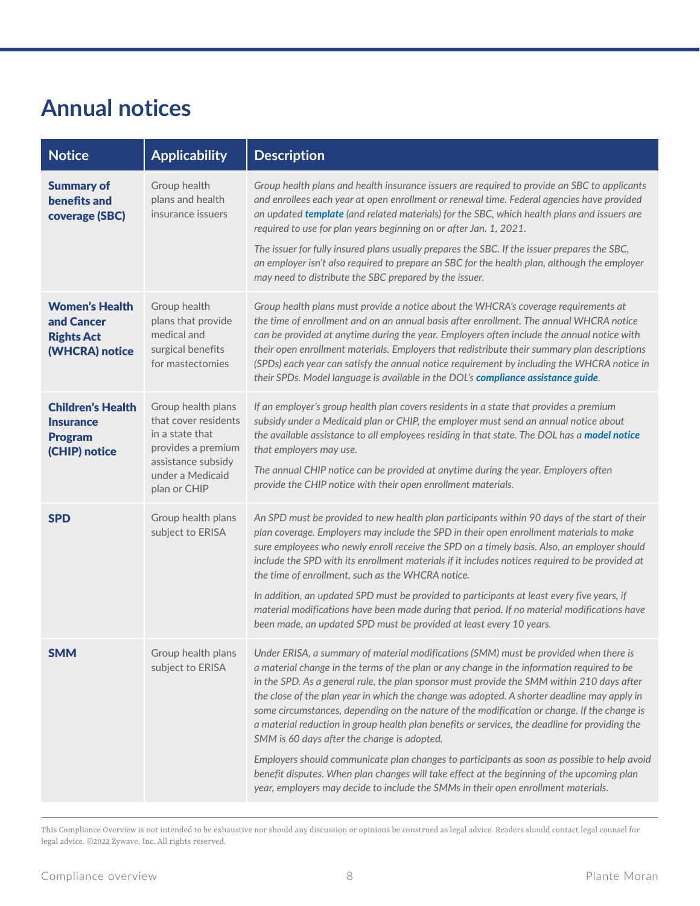#### **Annual notices**

| <b>Notice</b>                                                                   | <b>Applicability</b>                                                                                                                          | <b>Description</b>                                                                                                                                                                                                                                                                                                                                                                                                                                                                                                                                                                                                                                                                                                                                                                                                                                                                                                  |
|---------------------------------------------------------------------------------|-----------------------------------------------------------------------------------------------------------------------------------------------|---------------------------------------------------------------------------------------------------------------------------------------------------------------------------------------------------------------------------------------------------------------------------------------------------------------------------------------------------------------------------------------------------------------------------------------------------------------------------------------------------------------------------------------------------------------------------------------------------------------------------------------------------------------------------------------------------------------------------------------------------------------------------------------------------------------------------------------------------------------------------------------------------------------------|
| <b>Summary of</b><br>benefits and<br>coverage (SBC)                             | Group health<br>plans and health<br>insurance issuers                                                                                         | Group health plans and health insurance issuers are required to provide an SBC to applicants<br>and enrollees each year at open enrollment or renewal time. Federal agencies have provided<br>an updated template (and related materials) for the SBC, which health plans and issuers are<br>required to use for plan years beginning on or after Jan. 1, 2021.<br>The issuer for fully insured plans usually prepares the SBC. If the issuer prepares the SBC,<br>an employer isn't also required to prepare an SBC for the health plan, although the employer                                                                                                                                                                                                                                                                                                                                                     |
|                                                                                 |                                                                                                                                               | may need to distribute the SBC prepared by the issuer.                                                                                                                                                                                                                                                                                                                                                                                                                                                                                                                                                                                                                                                                                                                                                                                                                                                              |
| <b>Women's Health</b><br>and Cancer<br><b>Rights Act</b><br>(WHCRA) notice      | Group health<br>plans that provide<br>medical and<br>surgical benefits<br>for mastectomies                                                    | Group health plans must provide a notice about the WHCRA's coverage requirements at<br>the time of enrollment and on an annual basis after enrollment. The annual WHCRA notice<br>can be provided at anytime during the year. Employers often include the annual notice with<br>their open enrollment materials. Employers that redistribute their summary plan descriptions<br>(SPDs) each year can satisfy the annual notice requirement by including the WHCRA notice in<br>their SPDs. Model language is available in the DOL's compliance assistance guide.                                                                                                                                                                                                                                                                                                                                                    |
| <b>Children's Health</b><br><b>Insurance</b><br><b>Program</b><br>(CHIP) notice | Group health plans<br>that cover residents<br>in a state that<br>provides a premium<br>assistance subsidy<br>under a Medicaid<br>plan or CHIP | If an employer's group health plan covers residents in a state that provides a premium<br>subsidy under a Medicaid plan or CHIP, the employer must send an annual notice about<br>the available assistance to all employees residing in that state. The DOL has a model notice<br>that employers may use.<br>The annual CHIP notice can be provided at anytime during the year. Employers often<br>provide the CHIP notice with their open enrollment materials.                                                                                                                                                                                                                                                                                                                                                                                                                                                    |
| <b>SPD</b>                                                                      | Group health plans<br>subject to ERISA                                                                                                        | An SPD must be provided to new health plan participants within 90 days of the start of their<br>plan coverage. Employers may include the SPD in their open enrollment materials to make<br>sure employees who newly enroll receive the SPD on a timely basis. Also, an employer should<br>include the SPD with its enrollment materials if it includes notices required to be provided at<br>the time of enrollment, such as the WHCRA notice.<br>In addition, an updated SPD must be provided to participants at least every five years, if<br>material modifications have been made during that period. If no material modifications have<br>been made, an updated SPD must be provided at least every 10 years.                                                                                                                                                                                                  |
| <b>SMM</b>                                                                      | Group health plans<br>subject to ERISA                                                                                                        | Under ERISA, a summary of material modifications (SMM) must be provided when there is<br>a material change in the terms of the plan or any change in the information required to be<br>in the SPD. As a general rule, the plan sponsor must provide the SMM within 210 days after<br>the close of the plan year in which the change was adopted. A shorter deadline may apply in<br>some circumstances, depending on the nature of the modification or change. If the change is<br>a material reduction in group health plan benefits or services, the deadline for providing the<br>SMM is 60 days after the change is adopted.<br>Employers should communicate plan changes to participants as soon as possible to help avoid<br>benefit disputes. When plan changes will take effect at the beginning of the upcoming plan<br>year, employers may decide to include the SMMs in their open enrollment materials. |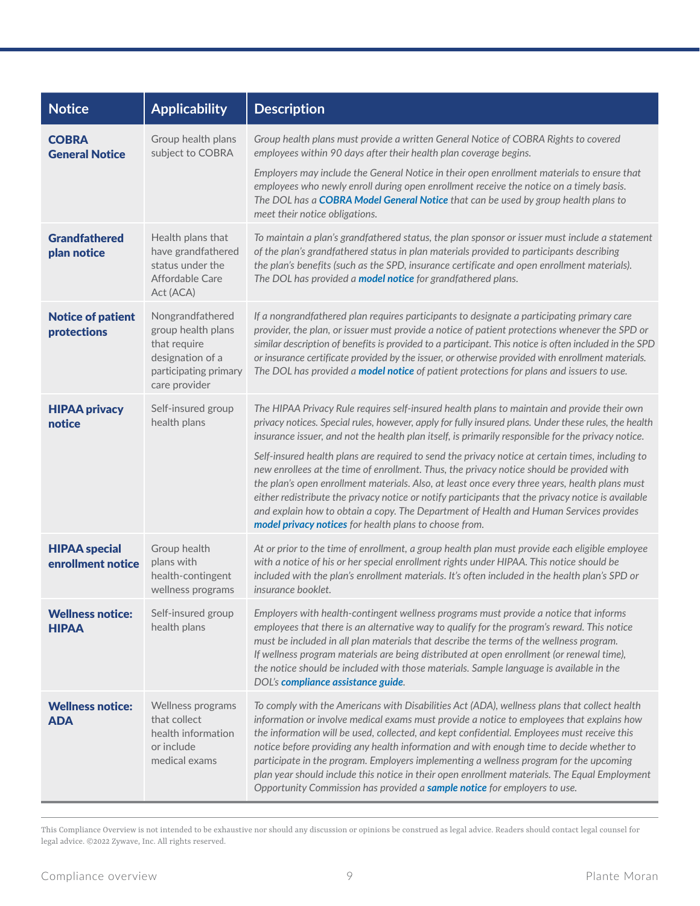| <b>Notice</b>                             | <b>Applicability</b>                                                                                                 | <b>Description</b>                                                                                                                                                                                                                                                                                                                                                                                                                                                                                                                                                                                                                                           |
|-------------------------------------------|----------------------------------------------------------------------------------------------------------------------|--------------------------------------------------------------------------------------------------------------------------------------------------------------------------------------------------------------------------------------------------------------------------------------------------------------------------------------------------------------------------------------------------------------------------------------------------------------------------------------------------------------------------------------------------------------------------------------------------------------------------------------------------------------|
| <b>COBRA</b><br><b>General Notice</b>     | Group health plans<br>subject to COBRA                                                                               | Group health plans must provide a written General Notice of COBRA Rights to covered<br>employees within 90 days after their health plan coverage begins.                                                                                                                                                                                                                                                                                                                                                                                                                                                                                                     |
|                                           |                                                                                                                      | Employers may include the General Notice in their open enrollment materials to ensure that<br>employees who newly enroll during open enrollment receive the notice on a timely basis.<br>The DOL has a COBRA Model General Notice that can be used by group health plans to<br>meet their notice obligations.                                                                                                                                                                                                                                                                                                                                                |
| <b>Grandfathered</b><br>plan notice       | Health plans that<br>have grandfathered<br>status under the<br>Affordable Care<br>Act (ACA)                          | To maintain a plan's grandfathered status, the plan sponsor or issuer must include a statement<br>of the plan's grandfathered status in plan materials provided to participants describing<br>the plan's benefits (such as the SPD, insurance certificate and open enrollment materials).<br>The DOL has provided a model notice for grandfathered plans.                                                                                                                                                                                                                                                                                                    |
| <b>Notice of patient</b><br>protections   | Nongrandfathered<br>group health plans<br>that require<br>designation of a<br>participating primary<br>care provider | If a nongrandfathered plan requires participants to designate a participating primary care<br>provider, the plan, or issuer must provide a notice of patient protections whenever the SPD or<br>similar description of benefits is provided to a participant. This notice is often included in the SPD<br>or insurance certificate provided by the issuer, or otherwise provided with enrollment materials.<br>The DOL has provided a model notice of patient protections for plans and issuers to use.                                                                                                                                                      |
| <b>HIPAA privacy</b><br>notice            | Self-insured group<br>health plans                                                                                   | The HIPAA Privacy Rule requires self-insured health plans to maintain and provide their own<br>privacy notices. Special rules, however, apply for fully insured plans. Under these rules, the health<br>insurance issuer, and not the health plan itself, is primarily responsible for the privacy notice.                                                                                                                                                                                                                                                                                                                                                   |
|                                           |                                                                                                                      | Self-insured health plans are required to send the privacy notice at certain times, including to<br>new enrollees at the time of enrollment. Thus, the privacy notice should be provided with<br>the plan's open enrollment materials. Also, at least once every three years, health plans must<br>either redistribute the privacy notice or notify participants that the privacy notice is available<br>and explain how to obtain a copy. The Department of Health and Human Services provides<br>model privacy notices for health plans to choose from.                                                                                                    |
| <b>HIPAA special</b><br>enrollment notice | Group health<br>plans with<br>health-contingent<br>wellness programs                                                 | At or prior to the time of enrollment, a group health plan must provide each eligible employee<br>with a notice of his or her special enrollment rights under HIPAA. This notice should be<br>included with the plan's enrollment materials. It's often included in the health plan's SPD or<br>insurance booklet.                                                                                                                                                                                                                                                                                                                                           |
| <b>Wellness notice:</b><br><b>HIPAA</b>   | Self-insured group<br>health plans                                                                                   | Employers with health-contingent wellness programs must provide a notice that informs<br>employees that there is an alternative way to qualify for the program's reward. This notice<br>must be included in all plan materials that describe the terms of the wellness program.<br>If wellness program materials are being distributed at open enrollment (or renewal time),<br>the notice should be included with those materials. Sample language is available in the<br>DOL's compliance assistance guide.                                                                                                                                                |
| <b>Wellness notice:</b><br><b>ADA</b>     | Wellness programs<br>that collect<br>health information<br>or include<br>medical exams                               | To comply with the Americans with Disabilities Act (ADA), wellness plans that collect health<br>information or involve medical exams must provide a notice to employees that explains how<br>the information will be used, collected, and kept confidential. Employees must receive this<br>notice before providing any health information and with enough time to decide whether to<br>participate in the program. Employers implementing a wellness program for the upcoming<br>plan year should include this notice in their open enrollment materials. The Equal Employment<br>Opportunity Commission has provided a sample notice for employers to use. |